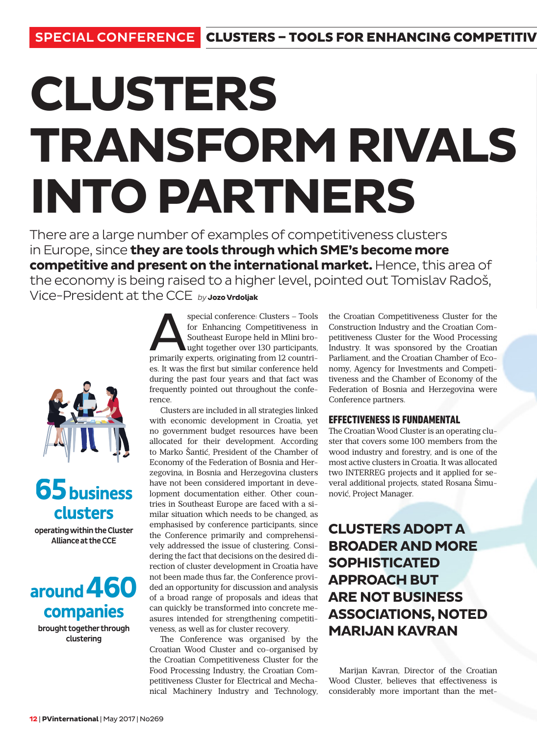# **CLUSTERS TRANSFORM RIVALS INTO PARTNERS**

There are a large number of examples of competitiveness clusters in Europe, since **they are tools through which SME's become more competitive and present on the international market.** Hence, this area of the economy is being raised to a higher level, pointed out Tomislav Radoš, Vice-President at the CCE *by* **Jozo Vrdoljak**



## **65business clusters**

operating within the Cluster Alliance at the CCE



brought together through clustering

special conference: Clusters – Tools<br>for Enhancing Competitiveness in<br>Southeast Europe held in Mlini bro-<br>ught together over 130 participants,<br>primarily experts, originating from 12 countrifor Enhancing Competitiveness in Southeast Europe held in Mlini brought together over 130 participants, es. It was the first but similar conference held during the past four years and that fact was frequently pointed out throughout the conference.

Clusters are included in all strategies linked with economic development in Croatia, yet no government budget resources have been allocated for their development. According to Marko Šantić, President of the Chamber of Economy of the Federation of Bosnia and Herzegovina, in Bosnia and Herzegovina clusters have not been considered important in development documentation either. Other countries in Southeast Europe are faced with a similar situation which needs to be changed, as emphasised by conference participants, since the Conference primarily and comprehensively addressed the issue of clustering. Considering the fact that decisions on the desired direction of cluster development in Croatia have not been made thus far, the Conference provided an opportunity for discussion and analysis of a broad range of proposals and ideas that can quickly be transformed into concrete measures intended for strengthening competitiveness, as well as for cluster recovery.

The Conference was organised by the Croatian Wood Cluster and co-organised by the Croatian Competitiveness Cluster for the Food Processing Industry, the Croatian Competitiveness Cluster for Electrical and Mechanical Machinery Industry and Technology,

the Croatian Competitiveness Cluster for the Construction Industry and the Croatian Competitiveness Cluster for the Wood Processing Industry. It was sponsored by the Croatian Parliament, and the Croatian Chamber of Economy, Agency for Investments and Competitiveness and the Chamber of Economy of the Federation of Bosnia and Herzegovina were Conference partners.

#### **EFFECTIVENESS IS FUNDAMENTAL**

The Croatian Wood Cluster is an operating cluster that covers some 100 members from the wood industry and forestry, and is one of the most active clusters in Croatia. It was allocated two INTERREG projects and it applied for several additional projects, stated Rosana Šimunović, Project Manager.

## **CLUSTERS ADOPT A BROADER AND MORE SOPHISTICATED APPROACH BUT ARE NOT BUSINESS ASSOCIATIONS, NOTED MARIJAN KAVRAN**

Marijan Kavran, Director of the Croatian Wood Cluster, believes that effectiveness is considerably more important than the met-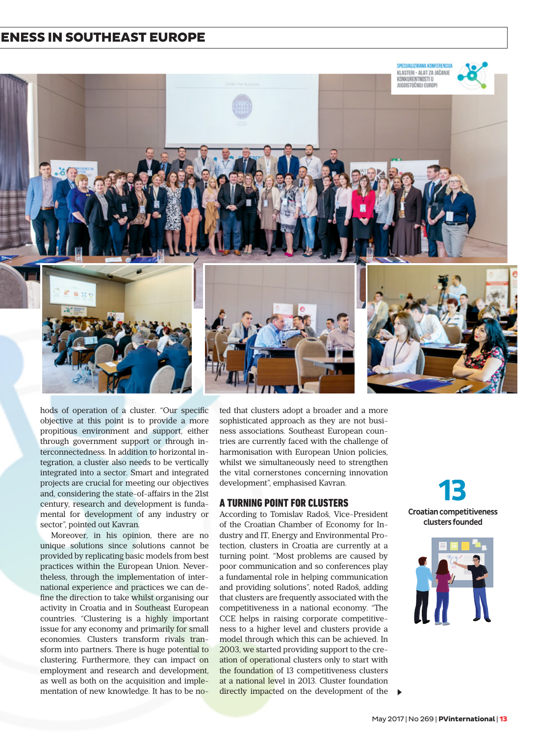#### ENESS IN SOUTHEAST EUROPE



hods of operation of a cluster. "Our specific objective at this point is to provide a more propitious environment and support, either through government support or through interconnectedness. In addition to horizontal integration, a cluster also needs to be vertically integrated into a sector. Smart and integrated projects are crucial for meeting our objectives and, considering the state-of-affairs in the 21st century, research and development is fundamental for development of any industry or sector", pointed out Kavran.

Moreover, in his opinion, there are no unique solutions since solutions cannot be provided by replicating basic models from best practices within the European Union. Nevertheless, through the implementation of international experience and practices we can define the direction to take whilst organising our activity in Croatia and in Southeast European countries. "Clustering is a highly important issue for any economy and primarily for small economies. Clusters transform rivals transform into partners. There is huge potential to clustering. Furthermore, they can impact on employment and research and development, as well as both on the acquisition and implementation of new knowledge. It has to be noted that clusters adopt a broader and a more sophisticated approach as they are not business associations. Southeast European countries are currently faced with the challenge of harmonisation with European Union policies, whilst we simultaneously need to strengthen the vital cornerstones concerning innovation development", emphasised Kavran.

#### **A TURNING POINT FOR CLUSTERS**

According to Tomislav Radoš, Vice-President of the Croatian Chamber of Economy for Industry and IT, Energy and Environmental Protection, clusters in Croatia are currently at a turning point. "Most problems are caused by poor communication and so conferences play a fundamental role in helping communication and providing solutions", noted Radoš, adding that clusters are frequently associated with the competitiveness in a national economy. "The CCE helps in raising corporate competitiveness to a higher level and clusters provide a model through which this can be achieved. In 2003, we started providing support to the creation of operational clusters only to start with the foundation of 13 competitiveness clusters at a national level in 2013. Cluster foundation directly impacted on the development of the  $\blacktriangleright$ 

**13** Croatian competitiveness clusters founded

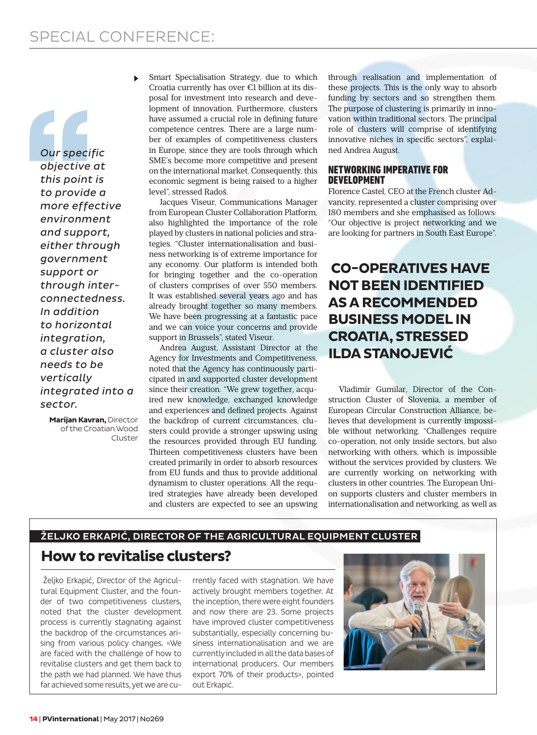*Our specific objective at this point is to provide a more effective environment and support, either through government support or through interconnectedness. In addition to horizontal integration, a cluster also needs to be vertically integrated into a sector.* 

> **Marijan Kavran,** Director of the Croatian Wood Cluster

Smart Specialisation Strategy, due to which Croatia currently has over €1 billion at its disposal for investment into research and development of innovation. Furthermore, clusters have assumed a crucial role in defining future competence centres. There are a large number of examples of competitiveness clusters in Europe, since they are tools through which SME's become more competitive and present on the international market. Consequently, this economic segment is being raised to a higher level", stressed Radoš.

Jacques Viseur, Communications Manager from European Cluster Collaboration Platform, also highlighted the importance of the role played by clusters in national policies and strategies. "Cluster internationalisation and business networking is of extreme importance for any economy. Our platform is intended both for bringing together and the co-operation of clusters comprises of over 550 members. It was established several years ago and has already brought together so many members. We have been progressing at a fantastic pace and we can voice your concerns and provide support in Brussels", stated Viseur.

Andrea August, Assistant Director at the Agency for Investments and Competitiveness, noted that the Agency has continuously participated in and supported cluster development since their creation. "We grew together, acquired new knowledge, exchanged knowledge and experiences and defined projects. Against the backdrop of current circumstances, clusters could provide a stronger upswing using the resources provided through EU funding. Thirteen competitiveness clusters have been created primarily in order to absorb resources from EU funds and thus to provide additional dynamism to cluster operations. All the required strategies have already been developed and clusters are expected to see an upswing

through realisation and implementation of these projects. This is the only way to absorb funding by sectors and so strengthen them. The purpose of clustering is primarily in innovation within traditional sectors. The principal role of clusters will comprise of identifying innovative niches in specific sectors", explained Andrea August.

#### **NETWORKING IMPERATIVE FOR DEVELOPMENT**

Florence Castel, CEO at the French cluster Advancity, represented a cluster comprising over 180 members and she emphasised as follows: "Our objective is project networking and we are looking for partners in South East Europe".

### **CO-OPERATIVES HAVE NOT BEEN IDENTIFIED AS A RECOMMENDED BUSINESS MODEL IN CROATIA, STRESSED ILDA STANOJEVIĆ**

Vladimir Gumilar, Director of the Construction Cluster of Slovenia, a member of European Circular Construction Alliance, believes that development is currently impossible without networking. "Challenges require co-operation, not only inside sectors, but also networking with others, which is impossible without the services provided by clusters. We are currently working on networking with clusters in other countries. The European Union supports clusters and cluster members in internationalisation and networking, as well as

## ŽELJKO ERKAPIĆ, DIRECTOR OF THE AGRICULTURAL EQUIPMENT CLUSTER **How to revitalise clusters?**

 Željko Erkapić, Director of the Agricultural Equipment Cluster, and the founder of two competitiveness clusters, noted that the cluster development process is currently stagnating against the backdrop of the circumstances arising from various policy changes. «We are faced with the challenge of how to revitalise clusters and get them back to the path we had planned. We have thus far achieved some results, yet we are currently faced with stagnation. We have actively brought members together. At the inception, there were eight founders and now there are 23. Some projects have improved cluster competitiveness substantially, especially concerning business internationalisation and we are currently included in all the data bases of international producers. Our members export 70% of their products», pointed out Erkapić.